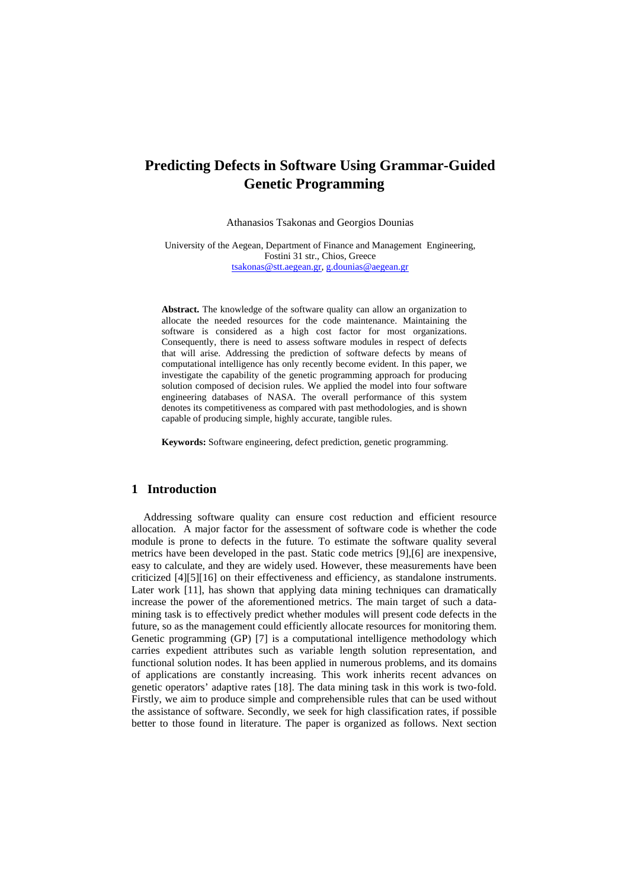# **Predicting Defects in Software Using Grammar-Guided Genetic Programming**

Athanasios Tsakonas and Georgios Dounias

University of the Aegean, Department of Finance and Management Engineering, Fostini 31 str., Chios, Greece [tsakonas@stt.aegean.gr,](mailto:tsakonas@stt.aegean.gr) [g.dounias@aegean.gr](mailto:g.dounias@aegean.gr)

**Abstract.** The knowledge of the software quality can allow an organization to allocate the needed resources for the code maintenance. Maintaining the software is considered as a high cost factor for most organizations. Consequently, there is need to assess software modules in respect of defects that will arise. Addressing the prediction of software defects by means of computational intelligence has only recently become evident. In this paper, we investigate the capability of the genetic programming approach for producing solution composed of decision rules. We applied the model into four software engineering databases of NASA. The overall performance of this system denotes its competitiveness as compared with past methodologies, and is shown capable of producing simple, highly accurate, tangible rules.

**Keywords:** Software engineering, defect prediction, genetic programming.

#### **1 Introduction**

Addressing software quality can ensure cost reduction and efficient resource allocation. A major factor for the assessment of software code is whether the code module is prone to defects in the future. To estimate the software quality several metrics have been developed in the past. Static code metrics [9],[6] are inexpensive, easy to calculate, and they are widely used. However, these measurements have been criticized [4][5][16] on their effectiveness and efficiency, as standalone instruments. Later work [11], has shown that applying data mining techniques can dramatically increase the power of the aforementioned metrics. The main target of such a datamining task is to effectively predict whether modules will present code defects in the future, so as the management could efficiently allocate resources for monitoring them. Genetic programming (GP) [7] is a computational intelligence methodology which carries expedient attributes such as variable length solution representation, and functional solution nodes. It has been applied in numerous problems, and its domains of applications are constantly increasing. This work inherits recent advances on genetic operators' adaptive rates [18]. The data mining task in this work is two-fold. Firstly, we aim to produce simple and comprehensible rules that can be used without the assistance of software. Secondly, we seek for high classification rates, if possible better to those found in literature. The paper is organized as follows. Next section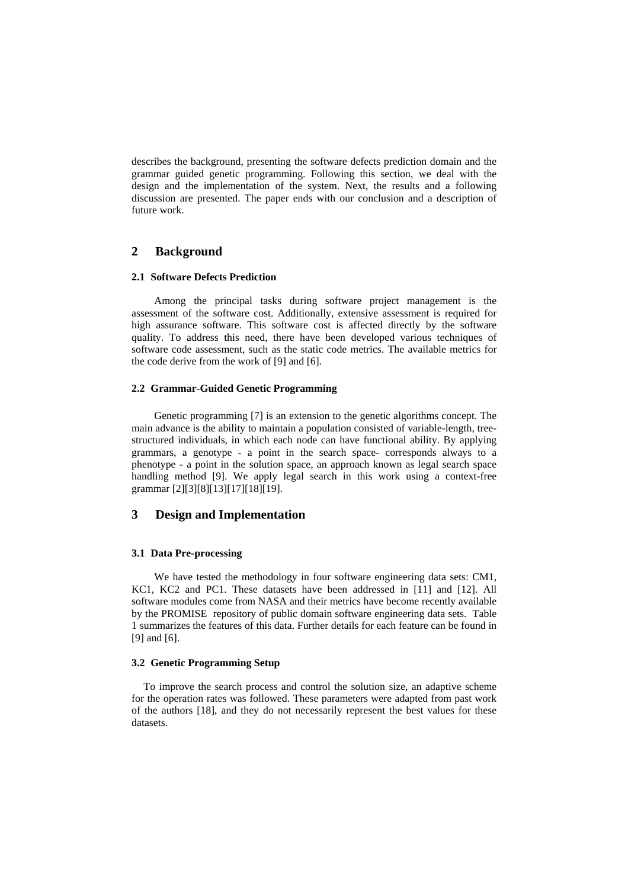describes the background, presenting the software defects prediction domain and the grammar guided genetic programming. Following this section, we deal with the design and the implementation of the system. Next, the results and a following discussion are presented. The paper ends with our conclusion and a description of future work.

# **2 Background**

#### **2.1 Software Defects Prediction**

 Among the principal tasks during software project management is the assessment of the software cost. Additionally, extensive assessment is required for high assurance software. This software cost is affected directly by the software quality. To address this need, there have been developed various techniques of software code assessment, such as the static code metrics. The available metrics for the code derive from the work of [9] and [6].

### **2.2 Grammar-Guided Genetic Programming**

 Genetic programming [7] is an extension to the genetic algorithms concept. The main advance is the ability to maintain a population consisted of variable-length, treestructured individuals, in which each node can have functional ability. By applying grammars, a genotype - a point in the search space- corresponds always to a phenotype - a point in the solution space, an approach known as legal search space handling method [9]. We apply legal search in this work using a context-free grammar [2][3][8][13][17][18][19].

# **3 Design and Implementation**

#### **3.1 Data Pre-processing**

 We have tested the methodology in four software engineering data sets: CM1, KC1, KC2 and PC1. These datasets have been addressed in [11] and [12]. All software modules come from NASA and their metrics have become recently available by the PROMISE repository of public domain software engineering data sets. Table 1 summarizes the features of this data. Further details for each feature can be found in [9] and [6].

#### **3.2 Genetic Programming Setup**

To improve the search process and control the solution size, an adaptive scheme for the operation rates was followed. These parameters were adapted from past work of the authors [18], and they do not necessarily represent the best values for these datasets.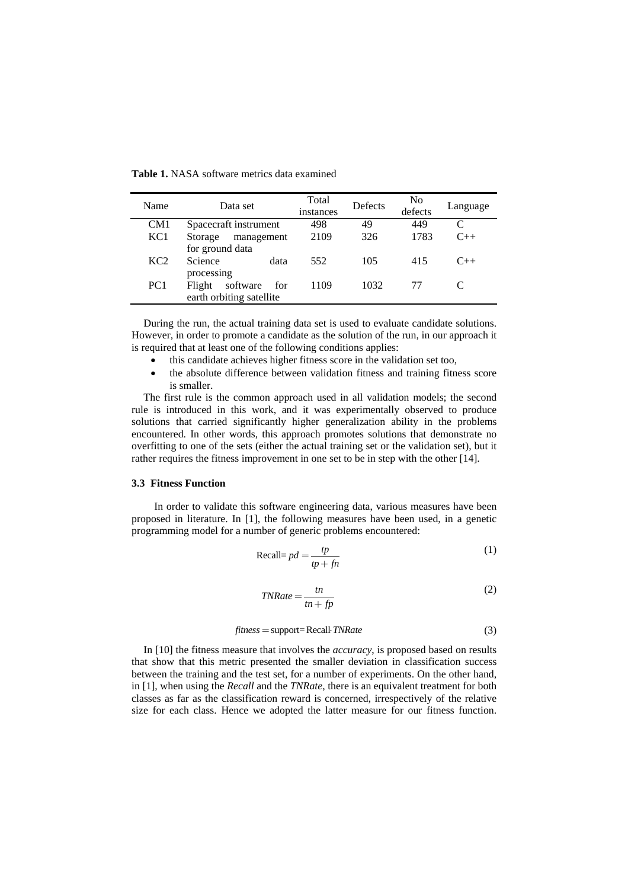| Name            | Data set                                              | Total<br>instances | Defects | N <sub>0</sub><br>defects | Language |
|-----------------|-------------------------------------------------------|--------------------|---------|---------------------------|----------|
| CM <sub>1</sub> | Spacecraft instrument                                 | 498                | 49      | 449                       |          |
| KC <sub>1</sub> | Storage<br>management<br>for ground data              | 2109               | 326     | 1783                      | $C_{++}$ |
| KC <sub>2</sub> | Science<br>data<br>processing                         | 552                | 105     | 415                       | $C_{++}$ |
| PC <sub>1</sub> | Flight<br>software<br>for<br>earth orbiting satellite | 1109               | 1032    | 77                        |          |

**Table 1.** NASA software metrics data examined

During the run, the actual training data set is used to evaluate candidate solutions. However, in order to promote a candidate as the solution of the run, in our approach it is required that at least one of the following conditions applies:

- this candidate achieves higher fitness score in the validation set too,
- the absolute difference between validation fitness and training fitness score is smaller.

The first rule is the common approach used in all validation models; the second rule is introduced in this work, and it was experimentally observed to produce solutions that carried significantly higher generalization ability in the problems encountered. In other words, this approach promotes solutions that demonstrate no overfitting to one of the sets (either the actual training set or the validation set), but it rather requires the fitness improvement in one set to be in step with the other [14].

### **3.3 Fitness Function**

In order to validate this software engineering data, various measures have been proposed in literature. In [1], the following measures have been used, in a genetic programming model for a number of generic problems encountered:

$$
\text{Recall} = pd = \frac{tp}{tp + fn} \tag{1}
$$

$$
TNRate = \frac{tn}{tn + fp}
$$
 (2)

$$
fitness = support = Recall \cdot TNRate \tag{3}
$$

In [10] the fitness measure that involves the *accuracy*, is proposed based on results that show that this metric presented the smaller deviation in classification success between the training and the test set, for a number of experiments. On the other hand, in [1], when using the *Recall* and the *TNRate*, there is an equivalent treatment for both classes as far as the classification reward is concerned, irrespectively of the relative size for each class. Hence we adopted the latter measure for our fitness function.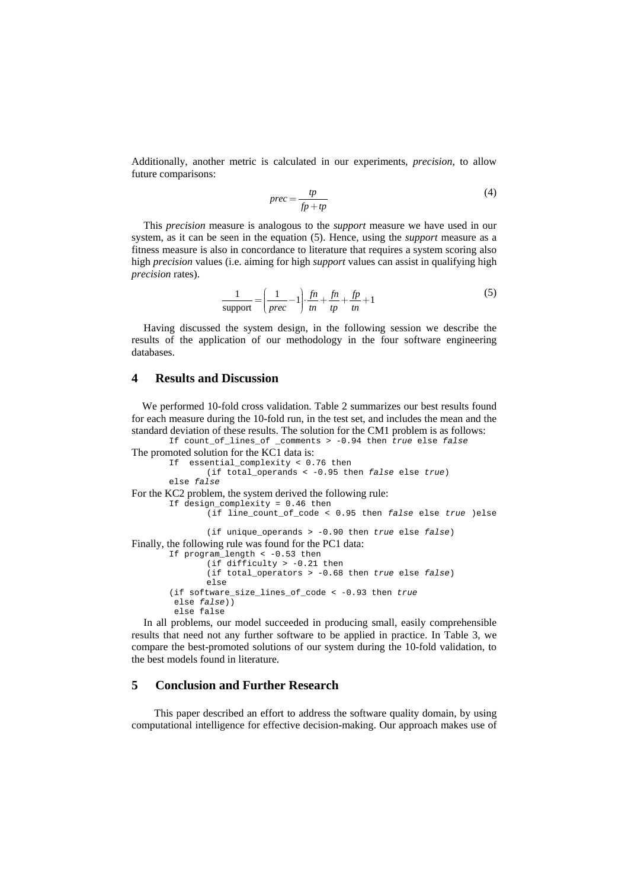Additionally, another metric is calculated in our experiments, *precision*, to allow future comparisons:

$$
prec = \frac{tp}{fp + tp}
$$
 (4)

This *precision* measure is analogous to the *support* measure we have used in our system, as it can be seen in the equation (5). Hence, using the *support* measure as a fitness measure is also in concordance to literature that requires a system scoring also high *precision* values (i.e. aiming for high *support* values can assist in qualifying high *precision* rates).

$$
\frac{1}{\text{support}} = \left(\frac{1}{prec} - 1\right) \cdot \frac{fn}{tn} + \frac{fn}{tp} + \frac{fp}{tn} + 1\tag{5}
$$

Having discussed the system design, in the following session we describe the results of the application of our methodology in the four software engineering databases.

## **4 Results and Discussion**

We performed 10-fold cross validation. Table 2 summarizes our best results found for each measure during the 10-fold run, in the test set, and includes the mean and the standard deviation of these results. The solution for the CM1 problem is as follows: If count\_of\_lines\_of \_comments > -0.94 then *true* else *false* 

```
The promoted solution for the KC1 data is:
        If essential_complexity < 0.76 then 
                 (if total_operands < -0.95 then false else true) 
        else false
For the KC2 problem, the system derived the following rule:
        If design complexity = 0.46 then
                (if line_count_of_code < 0.95 then false else true )else
                 (if unique_operands > -0.90 then true else false) 
Finally, the following rule was found for the PC1 data:
        If program_length < -0.53 then 
                 (if difficulty > -0.21 then 
                 (if total_operators > -0.68 then true else false) 
                 else 
         (if software_size_lines_of_code < -0.93 then true 
          else false)) 
          else false
```
In all problems, our model succeeded in producing small, easily comprehensible results that need not any further software to be applied in practice. In Table 3, we compare the best-promoted solutions of our system during the 10-fold validation, to the best models found in literature.

### **5 Conclusion and Further Research**

This paper described an effort to address the software quality domain, by using computational intelligence for effective decision-making. Our approach makes use of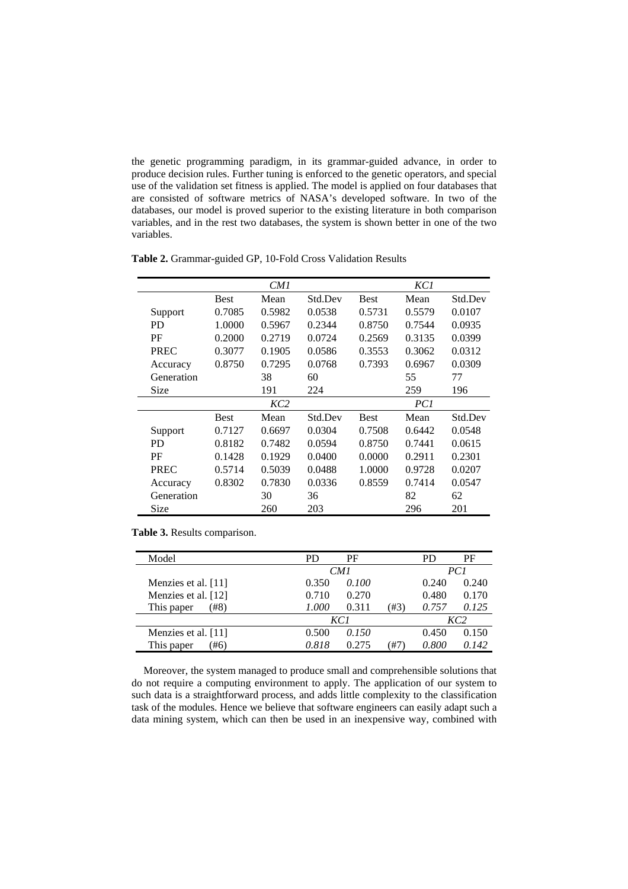the genetic programming paradigm, in its grammar-guided advance, in order to produce decision rules. Further tuning is enforced to the genetic operators, and special use of the validation set fitness is applied. The model is applied on four databases that are consisted of software metrics of NASA's developed software. In two of the databases, our model is proved superior to the existing literature in both comparison variables, and in the rest two databases, the system is shown better in one of the two variables.

|             |             | CM1    |         |             | KC1    |         |  |
|-------------|-------------|--------|---------|-------------|--------|---------|--|
|             | <b>Best</b> | Mean   | Std.Dev | <b>Best</b> | Mean   | Std.Dev |  |
| Support     | 0.7085      | 0.5982 | 0.0538  | 0.5731      | 0.5579 | 0.0107  |  |
| PD.         | 1.0000      | 0.5967 | 0.2344  | 0.8750      | 0.7544 | 0.0935  |  |
| PF          | 0.2000      | 0.2719 | 0.0724  | 0.2569      | 0.3135 | 0.0399  |  |
| <b>PREC</b> | 0.3077      | 0.1905 | 0.0586  | 0.3553      | 0.3062 | 0.0312  |  |
| Accuracy    | 0.8750      | 0.7295 | 0.0768  | 0.7393      | 0.6967 | 0.0309  |  |
| Generation  |             | 38     | 60      |             | 55     | 77      |  |
| Size        |             | 191    | 224     |             | 259    | 196     |  |
|             | KC2         |        |         |             | PC1    |         |  |
|             | <b>Best</b> | Mean   | Std.Dev | <b>Best</b> | Mean   | Std.Dev |  |
| Support     | 0.7127      | 0.6697 | 0.0304  | 0.7508      | 0.6442 | 0.0548  |  |
| <b>PD</b>   | 0.8182      | 0.7482 | 0.0594  | 0.8750      | 0.7441 | 0.0615  |  |
| PF          | 0.1428      | 0.1929 | 0.0400  | 0.0000      | 0.2911 | 0.2301  |  |
| <b>PREC</b> | 0.5714      | 0.5039 | 0.0488  | 1.0000      | 0.9728 | 0.0207  |  |
| Accuracy    | 0.8302      | 0.7830 | 0.0336  | 0.8559      | 0.7414 | 0.0547  |  |
| Generation  |             | 30     | 36      |             | 82     | 62      |  |
| Size        |             | 260    | 203     |             | 296    | 201     |  |

**Table 2.** Grammar-guided GP, 10-Fold Cross Validation Results

**Table 3.** Results comparison.

| Model               | PD    | РF    |      |       | PF    |
|---------------------|-------|-------|------|-------|-------|
|                     |       | CM1   |      | PC1   |       |
| Menzies et al. [11] | 0.350 | 0.100 |      | 0.240 | 0.240 |
| Menzies et al. [12] | 0.710 | 0.270 |      | 0.480 | 0.170 |
| (#8<br>This paper   | 1.000 | 0.311 | (#3` | 0.757 | 0.125 |
|                     |       | KC 1  |      | KC2   |       |
| Menzies et al. [11] | 0.500 | 0.150 |      | 0.450 | 0.150 |
| This paper<br>#6    | 0.818 | 0.275 | Ή7   | 0.800 | 0.142 |

Moreover, the system managed to produce small and comprehensible solutions that do not require a computing environment to apply. The application of our system to such data is a straightforward process, and adds little complexity to the classification task of the modules. Hence we believe that software engineers can easily adapt such a data mining system, which can then be used in an inexpensive way, combined with